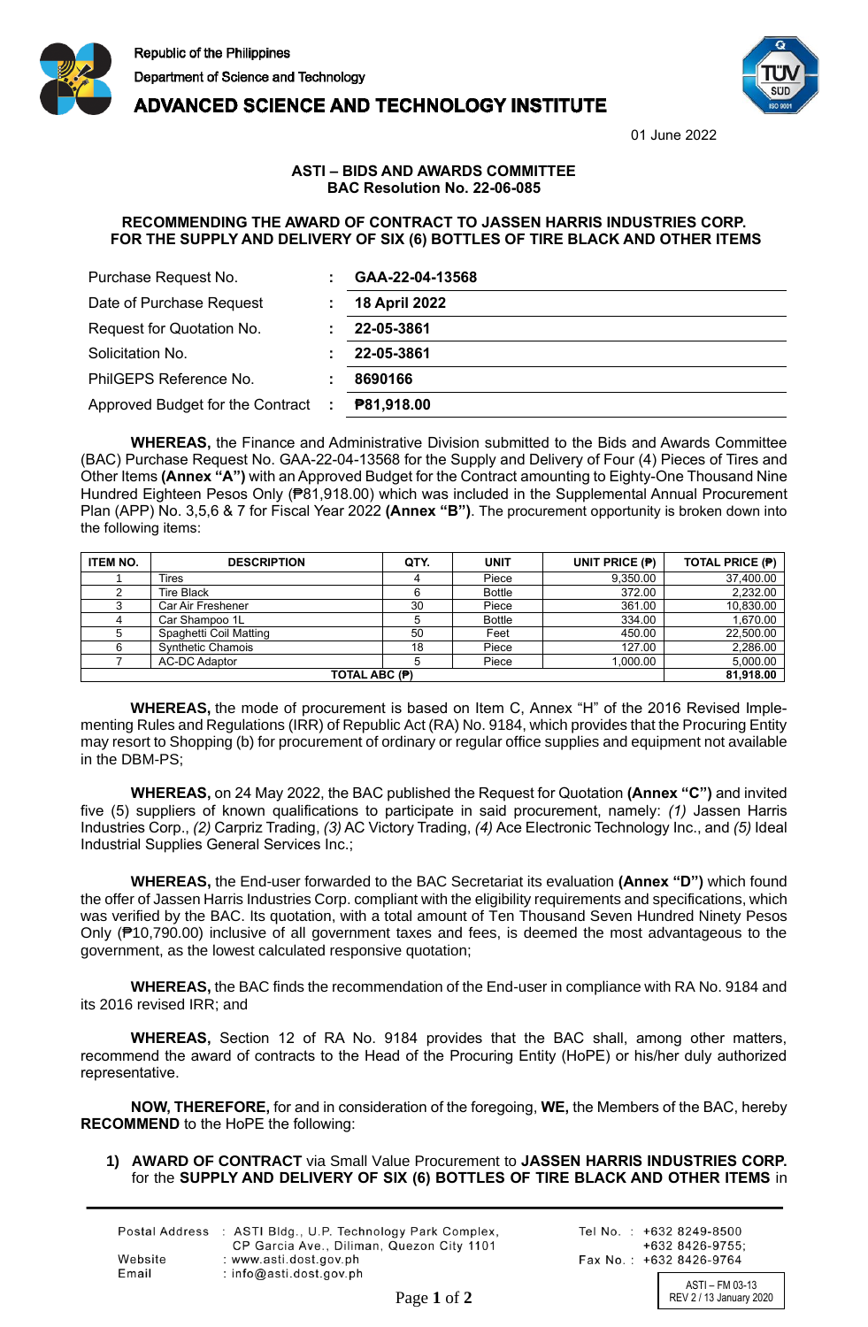



**ADVANCED SCIENCE AND TECHNOLOGY INSTITUTE** 

01 June 2022

## **ASTI – BIDS AND AWARDS COMMITTEE BAC Resolution No. 22-06-085**

## **RECOMMENDING THE AWARD OF CONTRACT TO JASSEN HARRIS INDUSTRIES CORP. FOR THE SUPPLY AND DELIVERY OF SIX (6) BOTTLES OF TIRE BLACK AND OTHER ITEMS**

| Purchase Request No.             |   | GAA-22-04-13568      |
|----------------------------------|---|----------------------|
| Date of Purchase Request         |   | <b>18 April 2022</b> |
| Request for Quotation No.        |   | 22-05-3861           |
| Solicitation No.                 |   | 22-05-3861           |
| PhilGEPS Reference No.           |   | 8690166              |
| Approved Budget for the Contract | ÷ | P81,918.00           |

**WHEREAS,** the Finance and Administrative Division submitted to the Bids and Awards Committee (BAC) Purchase Request No. GAA-22-04-13568 for the Supply and Delivery of Four (4) Pieces of Tires and Other Items **(Annex "A")** with an Approved Budget for the Contract amounting to Eighty-One Thousand Nine Hundred Eighteen Pesos Only (₱81,918.00) which was included in the Supplemental Annual Procurement Plan (APP) No. 3,5,6 & 7 for Fiscal Year 2022 **(Annex "B")**. The procurement opportunity is broken down into the following items:

| <b>ITEM NO.</b> | <b>DESCRIPTION</b>       | QTY. | <b>UNIT</b>   | UNIT PRICE (P) | <b>TOTAL PRICE (P)</b> |
|-----------------|--------------------------|------|---------------|----------------|------------------------|
|                 | Tires                    |      | Piece         | 9,350.00       | 37,400.00              |
|                 | <b>Tire Black</b>        |      | <b>Bottle</b> | 372.00         | 2,232.00               |
|                 | Car Air Freshener        | 30   | Piece         | 361.00         | 10,830.00              |
|                 | Car Shampoo 1L           |      | <b>Bottle</b> | 334.00         | 1,670.00               |
|                 | Spaghetti Coil Matting   | 50   | Feet          | 450.00         | 22,500.00              |
| 6               | <b>Synthetic Chamois</b> | 18   | Piece         | 127.00         | 2,286.00               |
|                 | AC-DC Adaptor            |      | Piece         | 1.000.00       | 5,000.00               |
| TOTAL ABC (P)   |                          |      |               |                | 81,918.00              |

**WHEREAS,** the mode of procurement is based on Item C, Annex "H" of the 2016 Revised Implementing Rules and Regulations (IRR) of Republic Act (RA) No. 9184, which provides that the Procuring Entity may resort to Shopping (b) for procurement of ordinary or regular office supplies and equipment not available in the DBM-PS;

**WHEREAS,** on 24 May 2022, the BAC published the Request for Quotation **(Annex "C")** and invited five (5) suppliers of known qualifications to participate in said procurement, namely: *(1)* Jassen Harris Industries Corp., *(2)* Carpriz Trading, *(3)* AC Victory Trading, *(4)* Ace Electronic Technology Inc., and *(5)* Ideal Industrial Supplies General Services Inc.;

**WHEREAS,** the End-user forwarded to the BAC Secretariat its evaluation **(Annex "D")** which found the offer of Jassen Harris Industries Corp. compliant with the eligibility requirements and specifications, which was verified by the BAC. Its quotation, with a total amount of Ten Thousand Seven Hundred Ninety Pesos Only (₱10,790.00) inclusive of all government taxes and fees, is deemed the most advantageous to the government, as the lowest calculated responsive quotation;

**WHEREAS,** the BAC finds the recommendation of the End-user in compliance with RA No. 9184 and its 2016 revised IRR; and

**WHEREAS,** Section 12 of RA No. 9184 provides that the BAC shall, among other matters, recommend the award of contracts to the Head of the Procuring Entity (HoPE) or his/her duly authorized representative.

**NOW, THEREFORE,** for and in consideration of the foregoing, **WE,** the Members of the BAC, hereby **RECOMMEND** to the HoPE the following:

## **1) AWARD OF CONTRACT** via Small Value Procurement to **JASSEN HARRIS INDUSTRIES CORP.** for the **SUPPLY AND DELIVERY OF SIX (6) BOTTLES OF TIRE BLACK AND OTHER ITEMS** in

|         | Postal Address : ASTI Bldg., U.P. Technology Park Complex,<br>CP Garcia Ave., Diliman, Quezon City 1101 |
|---------|---------------------------------------------------------------------------------------------------------|
| Website | : www.asti.dost.gov.ph                                                                                  |
| Email   | : $info@asti.dost.aov.sh$                                                                               |

Tel No.: +632 8249-8500  $+6328426-9755$ Fax No.: +632 8426-9764

ASTI – FM 03-13 Page 1 of 2 REV 2 / 13 January 2020